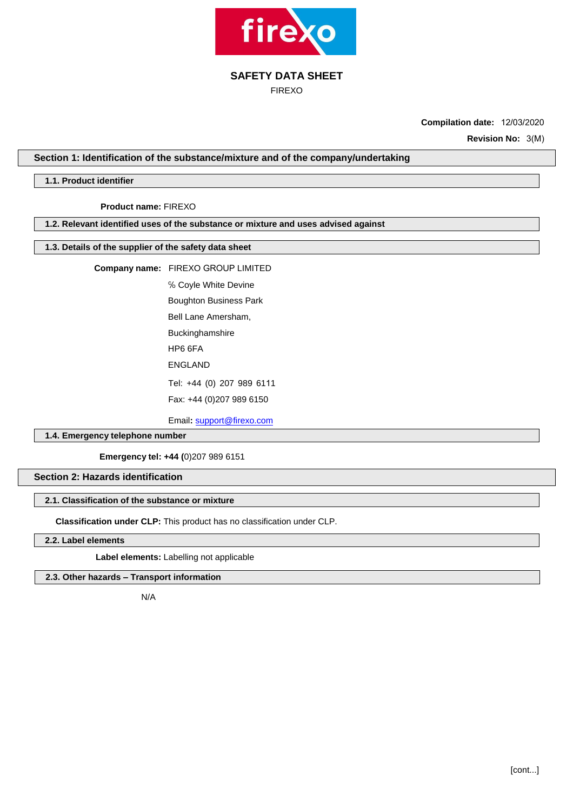

FIREXO

**Compilation date:** 12/03/2020

**Revision No:** 3(M)

## **Section 1: Identification of the substance/mixture and of the company/undertaking**

## **1.1. Product identifier**

**Product name:** FIREXO

### **1.2. Relevant identified uses of the substance or mixture and uses advised against**

## **1.3. Details of the supplier of the safety data sheet**

**Company name:** FIREXO GROUP LIMITED

℅ Coyle White Devine

Boughton Business Park

Bell Lane Amersham,

Buckinghamshire HP6 6FA

ENGLAND

Tel: +44 (0) 207 989 6111

Fax: +44 (0)207 989 6150

Email**:** [support@firexo.com](mailto:support@firexo.com)

## **1.4. Emergency telephone number**

**Emergency tel: +44 (**0)207 989 6151

# **Section 2: Hazards identification**

## **2.1. Classification of the substance or mixture**

**Classification under CLP:** This product has no classification under CLP.

**2.2. Label elements**

**Label elements:** Labelling not applicable

# . **2.3. Other hazards – Transport information**

N/A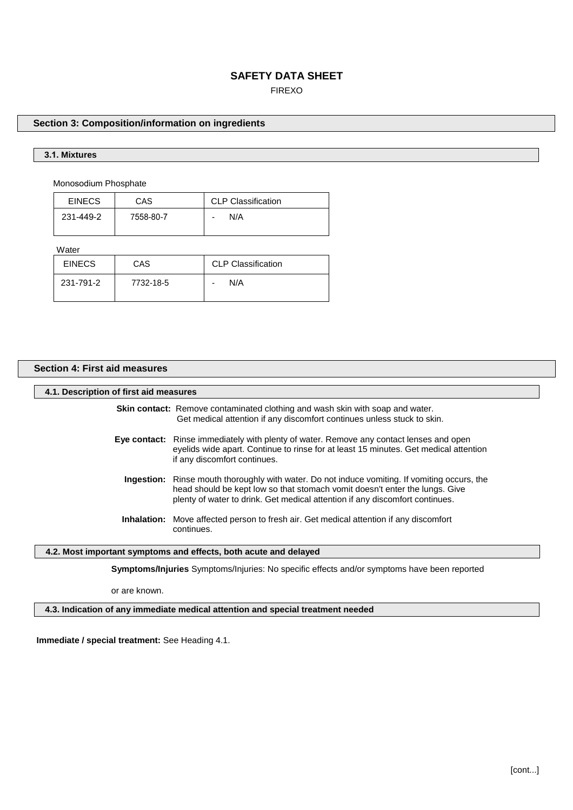## FIREXO

## **Section 3: Composition/information on ingredients**

## **3.1. Mixtures**

Monosodium Phosphate

| <b>EINECS</b> | CAS       | <b>CLP Classification</b>       |
|---------------|-----------|---------------------------------|
| 231-449-2     | 7558-80-7 | N/A<br>$\overline{\phantom{0}}$ |

**Water** 

| <b>EINECS</b> | CAS       | <b>CLP Classification</b> |
|---------------|-----------|---------------------------|
| 231-791-2     | 7732-18-5 | N/A<br>٠                  |

## **Section 4: First aid measures**

#### **4.1. Description of first aid measures**

**Skin contact:** Remove contaminated clothing and wash skin with soap and water. Get medical attention if any discomfort continues unless stuck to skin.

- **Eye contact:** Rinse immediately with plenty of water. Remove any contact lenses and open eyelids wide apart. Continue to rinse for at least 15 minutes. Get medical attention if any discomfort continues.
	- **Ingestion:** Rinse mouth thoroughly with water. Do not induce vomiting. If vomiting occurs, the head should be kept low so that stomach vomit doesn't enter the lungs. Give plenty of water to drink. Get medical attention if any discomfort continues.
	- **Inhalation:** Move affected person to fresh air. Get medical attention if any discomfort continues.

## **4.2. Most important symptoms and effects, both acute and delayed**

**Symptoms/Injuries** Symptoms/Injuries: No specific effects and/or symptoms have been reported

or are known.

**4.3. Indication of any immediate medical attention and special treatment needed**

**Immediate / special treatment:** See Heading 4.1.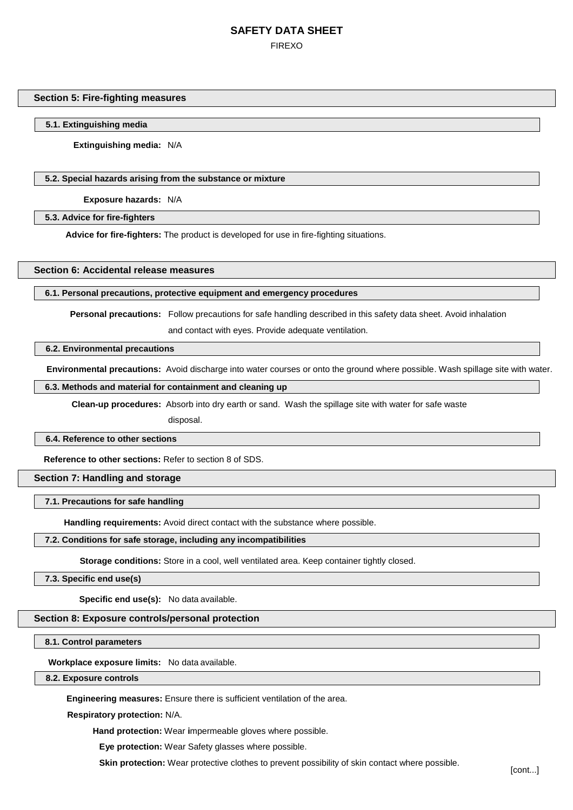# **SAFETY DATA SHEET** FIREXO

### **Section 5: Fire-fighting measures**

### **5.1. Extinguishing media**

**Extinguishing media:** N/A

## **5.2. Special hazards arising from the substance or mixture**

**Exposure hazards:** N/A

#### **5.3. Advice for fire-fighters**

**Advice for fire-fighters:** The product is developed for use in fire-fighting situations.

### **Section 6: Accidental release measures**

#### **6.1. Personal precautions, protective equipment and emergency procedures**

**Personal precautions:** Follow precautions for safe handling described in this safety data sheet. Avoid inhalation and contact with eyes. Provide adequate ventilation.

#### **6.2. Environmental precautions**

**Environmental precautions:** Avoid discharge into water courses or onto the ground where possible. Wash spillage site with water.

## **6.3. Methods and material for containment and cleaning up**

**Clean-up procedures:** Absorb into dry earth or sand. Wash the spillage site with water for safe waste

disposal.

#### **6.4. Reference to other sections**

**Reference to other sections:** Refer to section 8 of SDS.

## **Section 7: Handling and storage**

**7.1. Precautions for safe handling**

**Handling requirements:** Avoid direct contact with the substance where possible.

#### **7.2. Conditions for safe storage, including any incompatibilities**

**Storage conditions:** Store in a cool, well ventilated area. Keep container tightly closed.

**7.3. Specific end use(s)**

**Specific end use(s):** No data available.

### **Section 8: Exposure controls/personal protection**

**8.1. Control parameters**

**Workplace exposure limits:** No data available.

## **8.2. Exposure controls**

**Engineering measures:** Ensure there is sufficient ventilation of the area.

**Respiratory protection:** N/A.

**Hand protection:** Wear **i**mpermeable gloves where possible.

**Eye protection:** Wear Safety glasses where possible.

**Skin protection:** Wear protective clothes to prevent possibility of skin contact where possible.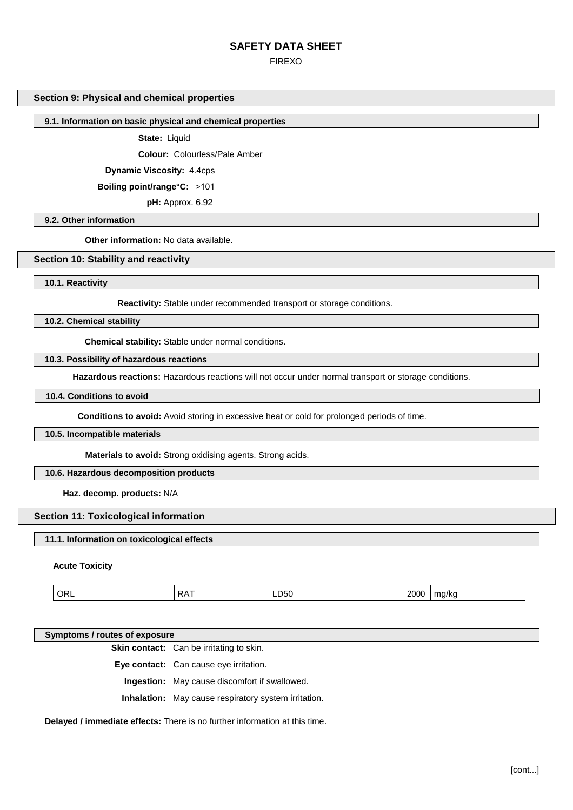FIREXO

## **Section 9: Physical and chemical properties**

## **9.1. Information on basic physical and chemical properties**

**State:** Liquid

**Colour:** Colourless/Pale Amber

**Dynamic Viscosity:** 4.4cps

**Boiling point/range°C:** >101

**pH:** Approx. 6.92

**9.2. Other information** 

**Other information:** No data available.

### **Section 10: Stability and reactivity**

**10.1. Reactivity** 

**Reactivity:** Stable under recommended transport or storage conditions.

**10.2. Chemical stability** 

**Chemical stability:** Stable under normal conditions.

### **10.3. Possibility of hazardous reactions**

**Hazardous reactions:** Hazardous reactions will not occur under normal transport or storage conditions.

## **10.4. Conditions to avoid**

**Conditions to avoid:** Avoid storing in excessive heat or cold for prolonged periods of time.

#### **10.5. Incompatible materials**

**Materials to avoid:** Strong oxidising agents. Strong acids.

## **10.6. Hazardous decomposition products**

**Haz. decomp. products:** N/A

## **Section 11: Toxicological information**

#### **11.1. Information on toxicological effects**

#### **Acute Toxicity**

| ж<br>$\sim$ | ^ פ<br>RF<br>. . | LD <sub>50</sub> | 20C<br>--- | --<br>$\overline{\phantom{a}}$<br>. . |
|-------------|------------------|------------------|------------|---------------------------------------|
|             |                  |                  |            |                                       |

#### **Symptoms / routes of exposure**

**Skin contact:** Can be irritating to skin.

**Eye contact:** Can cause eye irritation.

**Ingestion:** May cause discomfort if swallowed.

**Inhalation:** May cause respiratory system irritation.

**Delayed / immediate effects:** There is no further information at this time.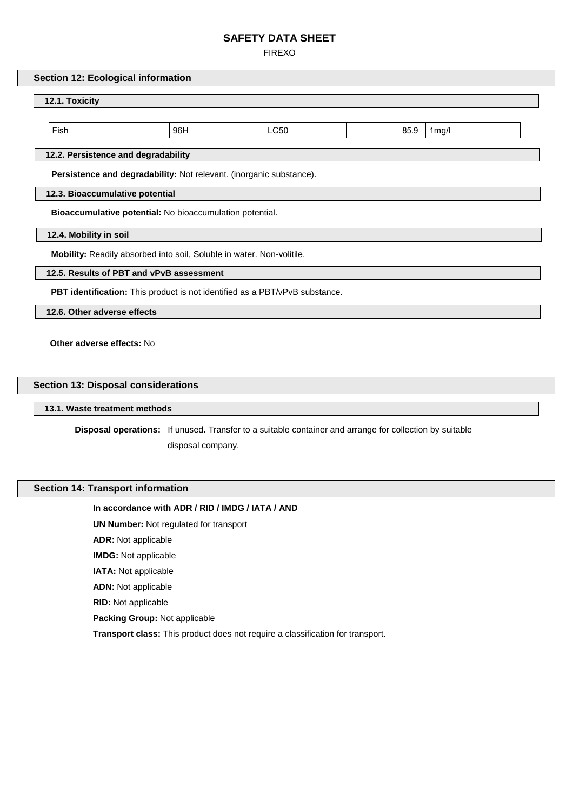FIREXO

### **Section 12: Ecological information**

# **12.1. Toxicity**

Fish 96H LC50 85.9 1mg/l

## **12.2. Persistence and degradability**

**Persistence and degradability:** Not relevant. (inorganic substance).

## **12.3. Bioaccumulative potential**

**Bioaccumulative potential:** No bioaccumulation potential.

**12.4. Mobility in soil** 

**Mobility:** Readily absorbed into soil, Soluble in water. Non-volitile.

## **12.5. Results of PBT and vPvB assessment**

**PBT identification:** This product is not identified as a PBT/vPvB substance.

**12.6. Other adverse effects** 

 **Other adverse effects:** No

## **Section 13: Disposal considerations**

**13.1. Waste treatment methods** 

**Disposal operations:** If unused**.** Transfer to a suitable container and arrange for collection by suitable

disposal company.

## **Section 14: Transport information**

## **In accordance with ADR / RID / IMDG / IATA / AND**

**UN Number:** Not regulated for transport

**ADR:** Not applicable

**IMDG:** Not applicable

**IATA:** Not applicable

**ADN:** Not applicable

**RID:** Not applicable

**Packing Group:** Not applicable

**Transport class:** This product does not require a classification for transport.